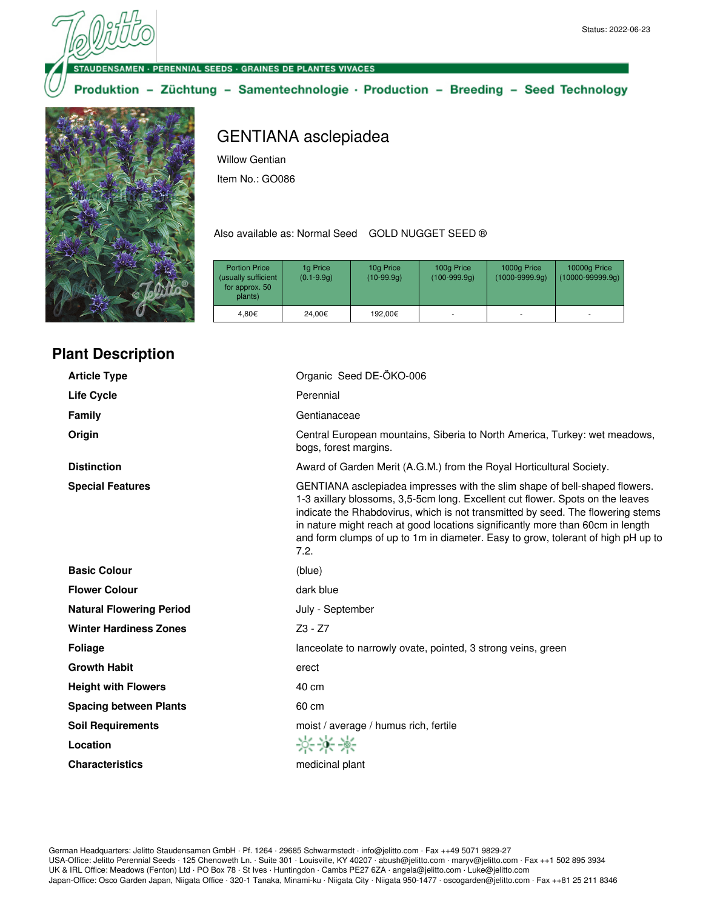**DENSAMEN · PERENNIAL SEEDS · GRAINES DE PLANTES VIVACES** 

Produktion - Züchtung - Samentechnologie · Production - Breeding - Seed Technology



**Plant Description**

| <b>Article Type</b>             | Organic Seed DE-ÖKO-006                                                                                                                                                                                                                                                                                                                                                                                                       |
|---------------------------------|-------------------------------------------------------------------------------------------------------------------------------------------------------------------------------------------------------------------------------------------------------------------------------------------------------------------------------------------------------------------------------------------------------------------------------|
| <b>Life Cycle</b>               | Perennial                                                                                                                                                                                                                                                                                                                                                                                                                     |
| Family                          | Gentianaceae                                                                                                                                                                                                                                                                                                                                                                                                                  |
| Origin                          | Central European mountains, Siberia to North America, Turkey: wet meadows,<br>bogs, forest margins.                                                                                                                                                                                                                                                                                                                           |
| <b>Distinction</b>              | Award of Garden Merit (A.G.M.) from the Royal Horticultural Society.                                                                                                                                                                                                                                                                                                                                                          |
| <b>Special Features</b>         | GENTIANA asclepiadea impresses with the slim shape of bell-shaped flowers.<br>1-3 axillary blossoms, 3,5-5cm long. Excellent cut flower. Spots on the leaves<br>indicate the Rhabdovirus, which is not transmitted by seed. The flowering stems<br>in nature might reach at good locations significantly more than 60cm in length<br>and form clumps of up to 1m in diameter. Easy to grow, tolerant of high pH up to<br>7.2. |
| <b>Basic Colour</b>             | (blue)                                                                                                                                                                                                                                                                                                                                                                                                                        |
| <b>Flower Colour</b>            | dark blue                                                                                                                                                                                                                                                                                                                                                                                                                     |
| <b>Natural Flowering Period</b> | July - September                                                                                                                                                                                                                                                                                                                                                                                                              |
| <b>Winter Hardiness Zones</b>   | $Z3 - Z7$                                                                                                                                                                                                                                                                                                                                                                                                                     |
| <b>Foliage</b>                  | lanceolate to narrowly ovate, pointed, 3 strong veins, green                                                                                                                                                                                                                                                                                                                                                                  |
| <b>Growth Habit</b>             | erect                                                                                                                                                                                                                                                                                                                                                                                                                         |
| <b>Height with Flowers</b>      | 40 cm                                                                                                                                                                                                                                                                                                                                                                                                                         |
| <b>Spacing between Plants</b>   | 60 cm                                                                                                                                                                                                                                                                                                                                                                                                                         |
| <b>Soil Requirements</b>        | moist / average / humus rich, fertile                                                                                                                                                                                                                                                                                                                                                                                         |
| Location                        | ***                                                                                                                                                                                                                                                                                                                                                                                                                           |
| <b>Characteristics</b>          | medicinal plant                                                                                                                                                                                                                                                                                                                                                                                                               |
|                                 |                                                                                                                                                                                                                                                                                                                                                                                                                               |

# GENTIANA asclepiadea

Willow Gentian

Item No.: GO086

Also available as: Normal Seed GOLD NUGGET SEED ®

| <b>Portion Price</b><br>(usually sufficient<br>for approx. 50<br>plants) | 1g Price<br>$(0.1 - 9.9q)$ | 10g Price<br>$(10-99.9q)$ | 100g Price<br>$(100-999.9q)$ | 1000g Price<br>$(1000 - 9999.9q)$ | 10000g Price<br>$(10000 - 99999.9q)$ |
|--------------------------------------------------------------------------|----------------------------|---------------------------|------------------------------|-----------------------------------|--------------------------------------|
| 4.80€                                                                    | 24.00€                     | 192.00€                   |                              |                                   |                                      |
|                                                                          |                            |                           |                              |                                   |                                      |